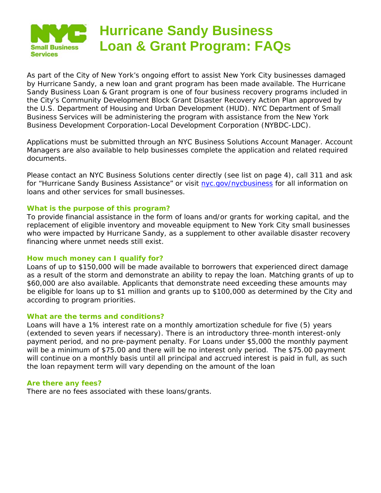

As part of the City of New York's ongoing effort to assist New York City businesses damaged by Hurricane Sandy, a new loan and grant program has been made available. The Hurricane Sandy Business Loan & Grant program is one of four business recovery programs included in the City's Community Development Block Grant Disaster Recovery Action Plan approved by the U.S. Department of Housing and Urban Development (HUD). NYC Department of Small Business Services will be administering the program with assistance from the New York Business Development Corporation-Local Development Corporation (NYBDC-LDC).

Applications must be submitted through an NYC Business Solutions Account Manager. Account Managers are also available to help businesses complete the application and related required documents.

Please contact an NYC Business Solutions center directly (see list on page 4), call 311 and ask for "Hurricane Sandy Business Assistance" or visit [nyc.gov/nycbusiness](http://www.nyc.gov/nycbusiness) for all information on loans and other services for small businesses.

## **What is the purpose of this program?**

To provide financial assistance in the form of loans and/or grants for working capital, and the replacement of eligible inventory and moveable equipment to New York City small businesses who were impacted by Hurricane Sandy, as a supplement to other available disaster recovery financing where unmet needs still exist.

#### **How much money can I qualify for?**

Loans of up to \$150,000 will be made available to borrowers that experienced direct damage as a result of the storm and demonstrate an ability to repay the loan. Matching grants of up to \$60,000 are also available. Applicants that demonstrate need exceeding these amounts may be eligible for loans up to \$1 million and grants up to \$100,000 as determined by the City and according to program priorities.

#### **What are the terms and conditions?**

Loans will have a 1% interest rate on a monthly amortization schedule for five (5) years (extended to seven years if necessary). There is an introductory three-month interest-only payment period, and no pre-payment penalty. For Loans under \$5,000 the monthly payment will be a minimum of \$75.00 and there will be no interest only period. The \$75.00 payment will continue on a monthly basis until all principal and accrued interest is paid in full, as such the loan repayment term will vary depending on the amount of the loan

#### **Are there any fees?**

There are no fees associated with these loans/grants.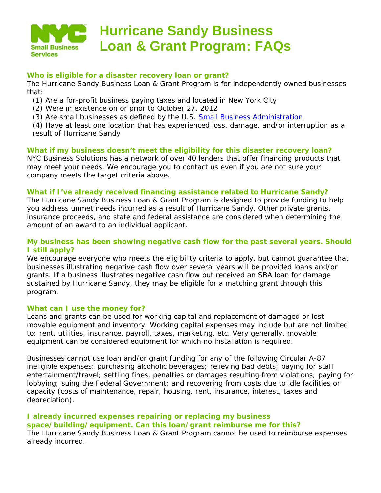

# **Hurricane Sandy Business Loan & Grant Program: FAQs**

# **Who is eligible for a disaster recovery loan or grant?**

The Hurricane Sandy Business Loan & Grant Program is for independently owned businesses that:

(1) Are a for-profit business paying taxes and located in New York City

(2) Were in existence on or prior to October 27, 2012

(3) Are small businesses as defined by the U.S. [Small Business Administration](http://www.sba.gov/content/what-sbas-definition-small-business-concern)

(4) Have at least one location that has experienced loss, damage, and/or interruption as a result of Hurricane Sandy

# **What if my business doesn't meet the eligibility for this disaster recovery loan?**

NYC Business Solutions has a network of over 40 lenders that offer financing products that may meet your needs. We encourage you to contact us even if you are not sure your company meets the target criteria above.

# **What if I've already received financing assistance related to Hurricane Sandy?**

The Hurricane Sandy Business Loan & Grant Program is designed to provide funding to help you address unmet needs incurred as a result of Hurricane Sandy. Other private grants, insurance proceeds, and state and federal assistance are considered when determining the amount of an award to an individual applicant.

# **My business has been showing negative cash flow for the past several years. Should I still apply?**

We encourage everyone who meets the eligibility criteria to apply, but cannot quarantee that businesses illustrating negative cash flow over several years will be provided loans and/or grants. If a business illustrates negative cash flow but received an SBA loan for damage sustained by Hurricane Sandy, they may be eligible for a matching grant through this program.

## **What can I use the money for?**

Loans and grants can be used for working capital and replacement of damaged or lost movable equipment and inventory. Working capital expenses may include but are not limited to: rent, utilities, insurance, payroll, taxes, marketing, etc. Very generally, movable equipment can be considered equipment for which no installation is required.

Businesses cannot use loan and/or grant funding for any of the following Circular A-87 ineligible expenses: purchasing alcoholic beverages; relieving bad debts; paying for staff entertainment/travel; settling fines, penalties or damages resulting from violations; paying for lobbying; suing the Federal Government; and recovering from costs due to idle facilities or capacity (costs of maintenance, repair, housing, rent, insurance, interest, taxes and depreciation).

# **I already incurred expenses repairing or replacing my business space/building/equipment. Can this loan/grant reimburse me for this?**

The Hurricane Sandy Business Loan & Grant Program cannot be used to reimburse expenses already incurred.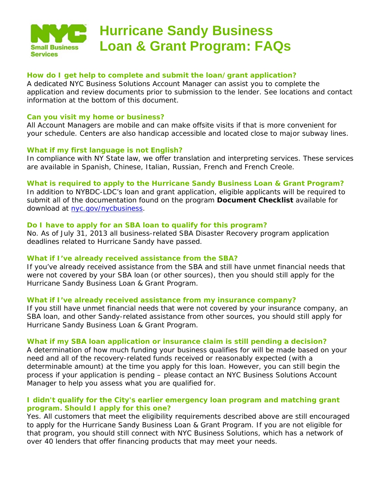

# **Hurricane Sandy Business Loan & Grant Program: FAQs**

# **How do I get help to complete and submit the loan/grant application?**

A dedicated NYC Business Solutions Account Manager can assist you to complete the application and review documents prior to submission to the lender. See locations and contact information at the bottom of this document.

#### **Can you visit my home or business?**

All Account Managers are mobile and can make offsite visits if that is more convenient for your schedule. Centers are also handicap accessible and located close to major subway lines.

## **What if my first language is not English?**

In compliance with NY State law, we offer translation and interpreting services. These services are available in Spanish, Chinese, Italian, Russian, French and French Creole.

#### **What is required to apply to the Hurricane Sandy Business Loan & Grant Program?**

In addition to NYBDC-LDC's loan and grant application, eligible applicants will be required to submit all of the documentation found on the program *Document Checklist* available for download at [nyc.gov/nycbusiness.](http://www.nyc.gov/nycbusiness)

#### **Do I have to apply for an SBA loan to qualify for this program?**

No. As of July 31, 2013 all business-related SBA Disaster Recovery program application deadlines related to Hurricane Sandy have passed.

## **What if I've already received assistance from the SBA?**

If you've already received assistance from the SBA and still have unmet financial needs that were not covered by your SBA loan (or other sources), then you should still apply for the Hurricane Sandy Business Loan & Grant Program.

#### **What if I've already received assistance from my insurance company?**

If you still have unmet financial needs that were not covered by your insurance company, an SBA loan, and other Sandy-related assistance from other sources, you should still apply for Hurricane Sandy Business Loan & Grant Program.

#### **What if my SBA loan application or insurance claim is still pending a decision?**

A determination of how much funding your business qualifies for will be made based on your need and all of the recovery-related funds received or reasonably expected (with a determinable amount) at the time you apply for this loan. However, you can still begin the process if your application is pending – please contact an NYC Business Solutions Account Manager to help you assess what you are qualified for.

## **I didn't qualify for the City's earlier emergency loan program and matching grant program. Should I apply for this one?**

Yes. All customers that meet the eligibility requirements described above are still encouraged to apply for the Hurricane Sandy Business Loan & Grant Program. If you are not eligible for that program, you should still connect with NYC Business Solutions, which has a network of over 40 lenders that offer financing products that may meet your needs.